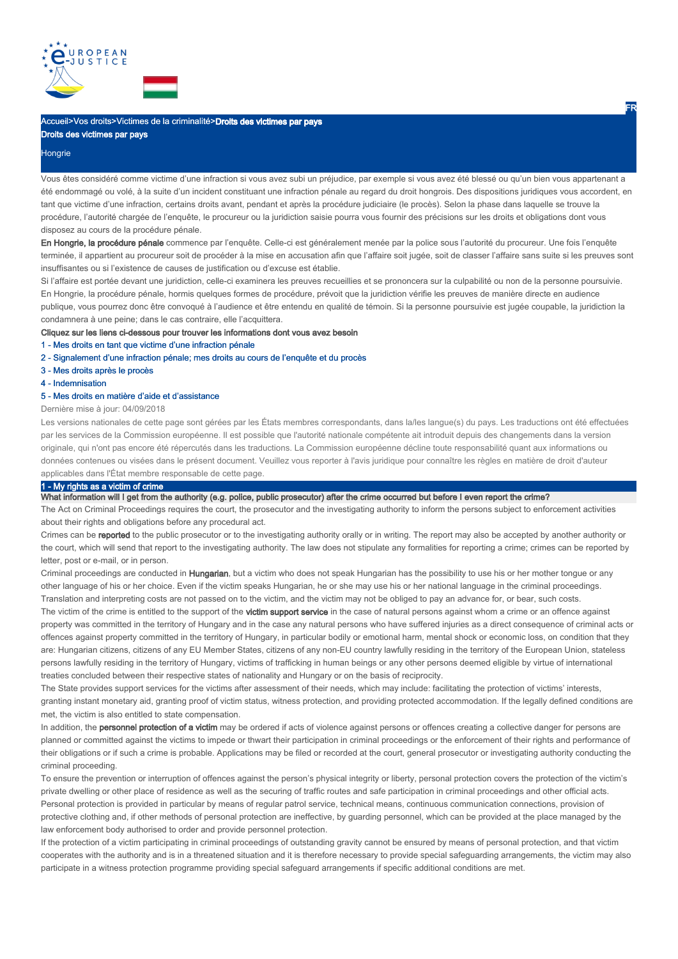

# Accueil>Vos droits>Victimes de la criminalité>**Droits des victimes par pays**

Droits des victimes par pays

#### **Hongrie**

Vous êtes considéré comme victime d'une infraction si vous avez subi un préjudice, par exemple si vous avez été blessé ou qu'un bien vous appartenant a été endommagé ou volé, à la suite d'un incident constituant une infraction pénale au regard du droit hongrois. Des dispositions juridiques vous accordent, en tant que victime d'une infraction, certains droits avant, pendant et après la procédure judiciaire (le procès). Selon la phase dans laquelle se trouve la procédure, l'autorité chargée de l'enquête, le procureur ou la juridiction saisie pourra vous fournir des précisions sur les droits et obligations dont vous disposez au cours de la procédure pénale.

En Hongrie, la procédure pénale commence par l'enquête. Celle-ci est généralement menée par la police sous l'autorité du procureur. Une fois l'enquête terminée, il appartient au procureur soit de procéder à la mise en accusation afin que l'affaire soit jugée, soit de classer l'affaire sans suite si les preuves sont insuffisantes ou si l'existence de causes de justification ou d'excuse est établie.

Si l'affaire est portée devant une juridiction, celle-ci examinera les preuves recueillies et se prononcera sur la culpabilité ou non de la personne poursuivie. En Hongrie, la procédure pénale, hormis quelques formes de procédure, prévoit que la juridiction vérifie les preuves de manière directe en audience publique, vous pourrez donc être convoqué à l'audience et être entendu en qualité de témoin. Si la personne poursuivie est jugée coupable, la juridiction la condamnera à une peine; dans le cas contraire, elle l'acquittera.

#### Cliquez sur les liens ci-dessous pour trouver les informations dont vous avez besoin

- 1 Mes droits en tant que victime d'une infraction pénale
- 2 Signalement d'une infraction pénale; mes droits au cours de l'enquête et du procès
- 3 Mes droits après le procès
- 4 Indemnisation

#### 5 - Mes droits en matière d'aide et d'assistance

Dernière mise à jour: 04/09/2018

Les versions nationales de cette page sont gérées par les États membres correspondants, dans la/les langue(s) du pays. Les traductions ont été effectuées par les services de la Commission européenne. Il est possible que l'autorité nationale compétente ait introduit depuis des changements dans la version originale, qui n'ont pas encore été répercutés dans les traductions. La Commission européenne décline toute responsabilité quant aux informations ou données contenues ou visées dans le présent document. Veuillez vous reporter à l'avis juridique pour connaître les règles en matière de droit d'auteur applicables dans l'État membre responsable de cette page.

# 1 - My rights as a victim of crime

What information will I get from the authority (e.g. police, public prosecutor) after the crime occurred but before I even report the crime?

The Act on Criminal Proceedings requires the court, the prosecutor and the investigating authority to inform the persons subject to enforcement activities about their rights and obligations before any procedural act.

Crimes can be reported to the public prosecutor or to the investigating authority orally or in writing. The report may also be accepted by another authority or the court, which will send that report to the investigating authority. The law does not stipulate any formalities for reporting a crime; crimes can be reported by letter, post or e-mail, or in person.

Criminal proceedings are conducted in Hungarian, but a victim who does not speak Hungarian has the possibility to use his or her mother tongue or any other language of his or her choice. Even if the victim speaks Hungarian, he or she may use his or her national language in the criminal proceedings. Translation and interpreting costs are not passed on to the victim, and the victim may not be obliged to pay an advance for, or bear, such costs.

The victim of the crime is entitled to the support of the victim support service in the case of natural persons against whom a crime or an offence against property was committed in the territory of Hungary and in the case any natural persons who have suffered injuries as a direct consequence of criminal acts or offences against property committed in the territory of Hungary, in particular bodily or emotional harm, mental shock or economic loss, on condition that they are: Hungarian citizens, citizens of any EU Member States, citizens of any non-EU country lawfully residing in the territory of the European Union, stateless persons lawfully residing in the territory of Hungary, victims of trafficking in human beings or any other persons deemed eligible by virtue of international treaties concluded between their respective states of nationality and Hungary or on the basis of reciprocity.

The State provides support services for the victims after assessment of their needs, which may include: facilitating the protection of victims' interests, granting instant monetary aid, granting proof of victim status, witness protection, and providing protected accommodation. If the legally defined conditions are met, the victim is also entitled to state compensation.

In addition, the personnel protection of a victim may be ordered if acts of violence against persons or offences creating a collective danger for persons are planned or committed against the victims to impede or thwart their participation in criminal proceedings or the enforcement of their rights and performance of their obligations or if such a crime is probable. Applications may be filed or recorded at the court, general prosecutor or investigating authority conducting the criminal proceeding.

To ensure the prevention or interruption of offences against the person's physical integrity or liberty, personal protection covers the protection of the victim's private dwelling or other place of residence as well as the securing of traffic routes and safe participation in criminal proceedings and other official acts. Personal protection is provided in particular by means of regular patrol service, technical means, continuous communication connections, provision of protective clothing and, if other methods of personal protection are ineffective, by guarding personnel, which can be provided at the place managed by the law enforcement body authorised to order and provide personnel protection.

If the protection of a victim participating in criminal proceedings of outstanding gravity cannot be ensured by means of personal protection, and that victim cooperates with the authority and is in a threatened situation and it is therefore necessary to provide special safeguarding arrangements, the victim may also participate in a witness protection programme providing special safeguard arrangements if specific additional conditions are met.

FR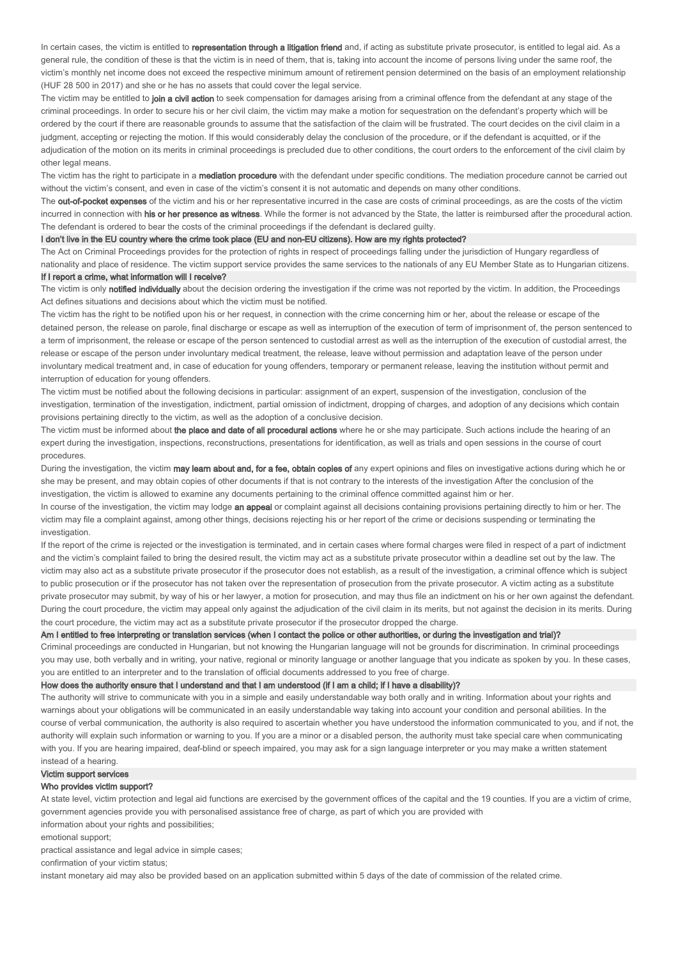In certain cases, the victim is entitled to representation through a litigation friend and, if acting as substitute private prosecutor, is entitled to legal aid. As a general rule, the condition of these is that the victim is in need of them, that is, taking into account the income of persons living under the same roof, the victim's monthly net income does not exceed the respective minimum amount of retirement pension determined on the basis of an employment relationship (HUF 28 500 in 2017) and she or he has no assets that could cover the legal service.

The victim may be entitled to join a civil action to seek compensation for damages arising from a criminal offence from the defendant at any stage of the criminal proceedings. In order to secure his or her civil claim, the victim may make a motion for sequestration on the defendant's property which will be ordered by the court if there are reasonable grounds to assume that the satisfaction of the claim will be frustrated. The court decides on the civil claim in a judgment, accepting or rejecting the motion. If this would considerably delay the conclusion of the procedure, or if the defendant is acquitted, or if the adjudication of the motion on its merits in criminal proceedings is precluded due to other conditions, the court orders to the enforcement of the civil claim by other legal means.

The victim has the right to participate in a mediation procedure with the defendant under specific conditions. The mediation procedure cannot be carried out without the victim's consent, and even in case of the victim's consent it is not automatic and depends on many other conditions.

The **out-of-pocket expenses** of the victim and his or her representative incurred in the case are costs of criminal proceedings, as are the costs of the victim incurred in connection with his or her presence as witness. While the former is not advanced by the State, the latter is reimbursed after the procedural action. The defendant is ordered to bear the costs of the criminal proceedings if the defendant is declared guilty.

I don't live in the EU country where the crime took place (EU and non-EU citizens). How are my rights protected?

The Act on Criminal Proceedings provides for the protection of rights in respect of proceedings falling under the jurisdiction of Hungary regardless of nationality and place of residence. The victim support service provides the same services to the nationals of any EU Member State as to Hungarian citizens If I report a crime, what information will I receive?

The victim is only notified individually about the decision ordering the investigation if the crime was not reported by the victim. In addition, the Proceedings Act defines situations and decisions about which the victim must be notified.

The victim has the right to be notified upon his or her request, in connection with the crime concerning him or her, about the release or escape of the detained person, the release on parole, final discharge or escape as well as interruption of the execution of term of imprisonment of, the person sentenced to a term of imprisonment, the release or escape of the person sentenced to custodial arrest as well as the interruption of the execution of custodial arrest, the release or escape of the person under involuntary medical treatment, the release, leave without permission and adaptation leave of the person under involuntary medical treatment and, in case of education for young offenders, temporary or permanent release, leaving the institution without permit and interruption of education for young offenders.

The victim must be notified about the following decisions in particular: assignment of an expert, suspension of the investigation, conclusion of the investigation, termination of the investigation, indictment, partial omission of indictment, dropping of charges, and adoption of any decisions which contain provisions pertaining directly to the victim, as well as the adoption of a conclusive decision.

The victim must be informed about the place and date of all procedural actions where he or she may participate. Such actions include the hearing of an expert during the investigation, inspections, reconstructions, presentations for identification, as well as trials and open sessions in the course of court procedures.

During the investigation, the victim may learn about and, for a fee, obtain copies of any expert opinions and files on investigative actions during which he or she may be present, and may obtain copies of other documents if that is not contrary to the interests of the investigation After the conclusion of the investigation, the victim is allowed to examine any documents pertaining to the criminal offence committed against him or her.

In course of the investigation, the victim may lodge an appeal or complaint against all decisions containing provisions pertaining directly to him or her. The victim may file a complaint against, among other things, decisions rejecting his or her report of the crime or decisions suspending or terminating the investigation.

If the report of the crime is rejected or the investigation is terminated, and in certain cases where formal charges were filed in respect of a part of indictment and the victim's complaint failed to bring the desired result, the victim may act as a substitute private prosecutor within a deadline set out by the law. The victim may also act as a substitute private prosecutor if the prosecutor does not establish, as a result of the investigation, a criminal offence which is subject to public prosecution or if the prosecutor has not taken over the representation of prosecution from the private prosecutor. A victim acting as a substitute private prosecutor may submit, by way of his or her lawyer, a motion for prosecution, and may thus file an indictment on his or her own against the defendant. During the court procedure, the victim may appeal only against the adjudication of the civil claim in its merits, but not against the decision in its merits. During the court procedure, the victim may act as a substitute private prosecutor if the prosecutor dropped the charge.

#### Am I entitled to free interpreting or translation services (when I contact the police or other authorities, or during the investigation and trial)?

Criminal proceedings are conducted in Hungarian, but not knowing the Hungarian language will not be grounds for discrimination. In criminal proceedings you may use, both verbally and in writing, your native, regional or minority language or another language that you indicate as spoken by you. In these cases, you are entitled to an interpreter and to the translation of official documents addressed to you free of charge.

#### How does the authority ensure that I understand and that I am understood (if I am a child; if I have a disability)?

The authority will strive to communicate with you in a simple and easily understandable way both orally and in writing. Information about your rights and warnings about your obligations will be communicated in an easily understandable way taking into account your condition and personal abilities. In the course of verbal communication, the authority is also required to ascertain whether you have understood the information communicated to you, and if not, the authority will explain such information or warning to you. If you are a minor or a disabled person, the authority must take special care when communicating with you. If you are hearing impaired, deaf-blind or speech impaired, you may ask for a sign language interpreter or you may make a written statement instead of a hearing.

# Victim support services

# Who provides victim support?

At state level, victim protection and legal aid functions are exercised by the government offices of the capital and the 19 counties. If you are a victim of crime, government agencies provide you with personalised assistance free of charge, as part of which you are provided with information about your rights and possibilities:

emotional support;

practical assistance and legal advice in simple cases;

confirmation of your victim status;

instant monetary aid may also be provided based on an application submitted within 5 days of the date of commission of the related crime.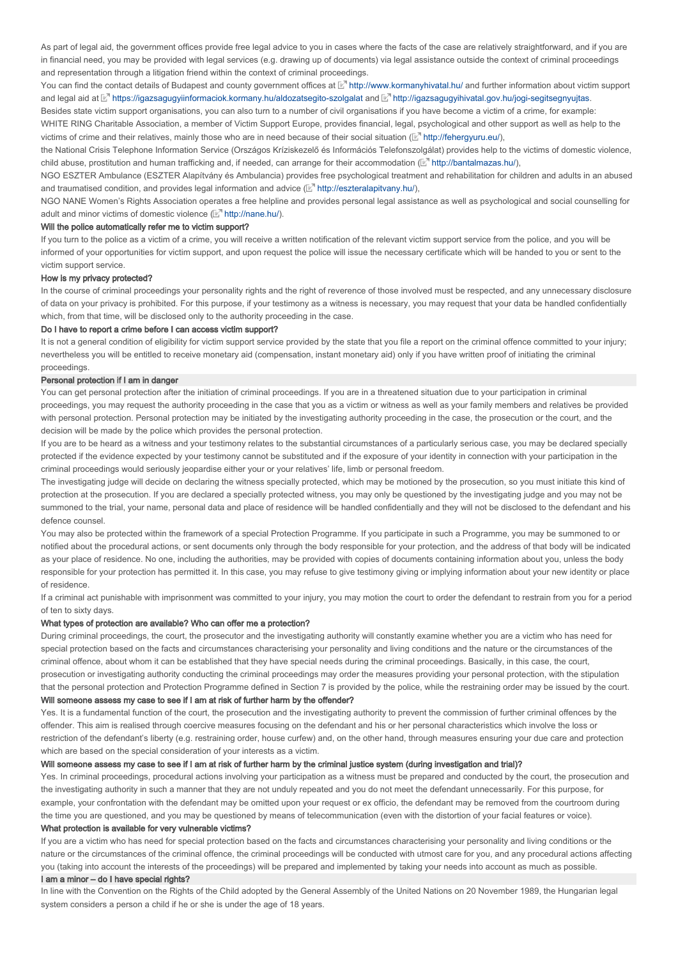As part of legal aid, the government offices provide free legal advice to you in cases where the facts of the case are relatively straightforward, and if you are in financial need, you may be provided with legal services (e.g. drawing up of documents) via legal assistance outside the context of criminal proceedings and representation through a litigation friend within the context of criminal proceedings.

You can find the contact details of Budapest and county government offices at ⊠" http://www.kormanyhivatal.hu/ and further information about victim support and legal aid at ⊠" https://igazsagugyiinformaciok.kormany.hu/aldozatsegito-szolgalat and ⊠" http://igazsagugyihivatal.gov.hu/jogi-segitsegnyujtas.

Besides state victim support organisations, you can also turn to a number of civil organisations if you have become a victim of a crime, for example:

WHITE RING Charitable Association, a member of Victim Support Europe, provides financial, legal, psychological and other support as well as help to the victims of crime and their relatives, mainly those who are in need because of their social situation  $(\mathbb{E}^n \text{ http://feherquuru.eu/}),$ 

the National Crisis Telephone Information Service (Országos Kríziskezelő és Információs Telefonszolgálat) provides help to the victims of domestic violence, child abuse, prostitution and human trafficking and, if needed, can arrange for their accommodation ( $\mathbb{E}^n$  http://bantalmazas.hu/),

NGO ESZTER Ambulance (ESZTER Alapítvány és Ambulancia) provides free psychological treatment and rehabilitation for children and adults in an abused and traumatised condition, and provides legal information and advice  $(\mathbb{F}^n)$  http://eszteralapitvany.hu/),

NGO NANE Women's Rights Association operates a free helpline and provides personal legal assistance as well as psychological and social counselling for adult and minor victims of domestic violence  $(\mathbb{E}^n$  http://nane.hu/).

# Will the police automatically refer me to victim support?

If you turn to the police as a victim of a crime, you will receive a written notification of the relevant victim support service from the police, and you will be informed of your opportunities for victim support, and upon request the police will issue the necessary certificate which will be handed to you or sent to the victim support service.

#### How is my privacy protected?

In the course of criminal proceedings your personality rights and the right of reverence of those involved must be respected, and any unnecessary disclosure of data on your privacy is prohibited. For this purpose, if your testimony as a witness is necessary, you may request that your data be handled confidentially which, from that time, will be disclosed only to the authority proceeding in the case.

#### Do I have to report a crime before I can access victim support?

It is not a general condition of eligibility for victim support service provided by the state that you file a report on the criminal offence committed to your injury; nevertheless you will be entitled to receive monetary aid (compensation, instant monetary aid) only if you have written proof of initiating the criminal proceedings.

# Personal protection if I am in danger

You can get personal protection after the initiation of criminal proceedings. If you are in a threatened situation due to your participation in criminal proceedings, you may request the authority proceeding in the case that you as a victim or witness as well as your family members and relatives be provided with personal protection. Personal protection may be initiated by the investigating authority proceeding in the case, the prosecution or the court, and the decision will be made by the police which provides the personal protection.

If you are to be heard as a witness and your testimony relates to the substantial circumstances of a particularly serious case, you may be declared specially protected if the evidence expected by your testimony cannot be substituted and if the exposure of your identity in connection with your participation in the criminal proceedings would seriously jeopardise either your or your relatives' life, limb or personal freedom.

The investigating judge will decide on declaring the witness specially protected, which may be motioned by the prosecution, so you must initiate this kind of protection at the prosecution. If you are declared a specially protected witness, you may only be questioned by the investigating judge and you may not be summoned to the trial, your name, personal data and place of residence will be handled confidentially and they will not be disclosed to the defendant and his defence counsel.

You may also be protected within the framework of a special Protection Programme. If you participate in such a Programme, you may be summoned to or notified about the procedural actions, or sent documents only through the body responsible for your protection, and the address of that body will be indicated as your place of residence. No one, including the authorities, may be provided with copies of documents containing information about you, unless the body responsible for your protection has permitted it. In this case, you may refuse to give testimony giving or implying information about your new identity or place of residence.

If a criminal act punishable with imprisonment was committed to your injury, you may motion the court to order the defendant to restrain from you for a period of ten to sixty days.

#### What types of protection are available? Who can offer me a protection?

During criminal proceedings, the court, the prosecutor and the investigating authority will constantly examine whether you are a victim who has need for special protection based on the facts and circumstances characterising your personality and living conditions and the nature or the circumstances of the criminal offence, about whom it can be established that they have special needs during the criminal proceedings. Basically, in this case, the court, prosecution or investigating authority conducting the criminal proceedings may order the measures providing your personal protection, with the stipulation that the personal protection and Protection Programme defined in Section 7 is provided by the police, while the restraining order may be issued by the court. Will someone assess my case to see if I am at risk of further harm by the offender?

Yes. It is a fundamental function of the court, the prosecution and the investigating authority to prevent the commission of further criminal offences by the offender. This aim is realised through coercive measures focusing on the defendant and his or her personal characteristics which involve the loss or restriction of the defendant's liberty (e.g. restraining order, house curfew) and, on the other hand, through measures ensuring your due care and protection which are based on the special consideration of your interests as a victim.

#### Will someone assess my case to see if I am at risk of further harm by the criminal justice system (during investigation and trial)?

Yes. In criminal proceedings, procedural actions involving your participation as a witness must be prepared and conducted by the court, the prosecution and the investigating authority in such a manner that they are not unduly repeated and you do not meet the defendant unnecessarily. For this purpose, for example, your confrontation with the defendant may be omitted upon your request or ex officio, the defendant may be removed from the courtroom during the time you are questioned, and you may be questioned by means of telecommunication (even with the distortion of your facial features or voice).

# What protection is available for very vulnerable victims?

If you are a victim who has need for special protection based on the facts and circumstances characterising your personality and living conditions or the nature or the circumstances of the criminal offence, the criminal proceedings will be conducted with utmost care for you, and any procedural actions affecting you (taking into account the interests of the proceedings) will be prepared and implemented by taking your needs into account as much as possible.

# I am a minor – do I have special rights?

In line with the Convention on the Rights of the Child adopted by the General Assembly of the United Nations on 20 November 1989, the Hungarian legal system considers a person a child if he or she is under the age of 18 years.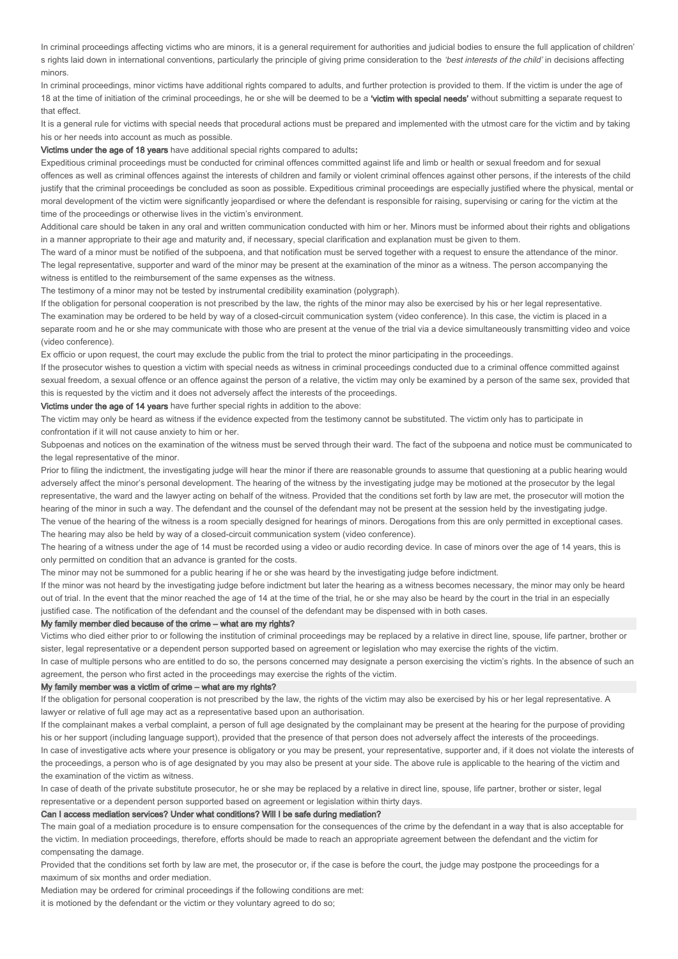In criminal proceedings affecting victims who are minors, it is a general requirement for authorities and judicial bodies to ensure the full application of children' s rights laid down in international conventions, particularly the principle of giving prime consideration to the 'best interests of the child' in decisions affecting minors.

In criminal proceedings, minor victims have additional rights compared to adults, and further protection is provided to them. If the victim is under the age of 18 at the time of initiation of the criminal proceedings, he or she will be deemed to be a 'victim with special needs' without submitting a separate request to that effect.

It is a general rule for victims with special needs that procedural actions must be prepared and implemented with the utmost care for the victim and by taking his or her needs into account as much as possible.

Victims under the age of 18 years have additional special rights compared to adults:

Expeditious criminal proceedings must be conducted for criminal offences committed against life and limb or health or sexual freedom and for sexual offences as well as criminal offences against the interests of children and family or violent criminal offences against other persons, if the interests of the child justify that the criminal proceedings be concluded as soon as possible. Expeditious criminal proceedings are especially justified where the physical, mental or moral development of the victim were significantly jeopardised or where the defendant is responsible for raising, supervising or caring for the victim at the time of the proceedings or otherwise lives in the victim's environment.

Additional care should be taken in any oral and written communication conducted with him or her. Minors must be informed about their rights and obligations in a manner appropriate to their age and maturity and, if necessary, special clarification and explanation must be given to them.

The ward of a minor must be notified of the subpoena, and that notification must be served together with a request to ensure the attendance of the minor. The legal representative, supporter and ward of the minor may be present at the examination of the minor as a witness. The person accompanying the witness is entitled to the reimbursement of the same expenses as the witness.

The testimony of a minor may not be tested by instrumental credibility examination (polygraph).

If the obligation for personal cooperation is not prescribed by the law, the rights of the minor may also be exercised by his or her legal representative. The examination may be ordered to be held by way of a closed-circuit communication system (video conference). In this case, the victim is placed in a separate room and he or she may communicate with those who are present at the venue of the trial via a device simultaneously transmitting video and voice (video conference).

Ex officio or upon request, the court may exclude the public from the trial to protect the minor participating in the proceedings.

If the prosecutor wishes to question a victim with special needs as witness in criminal proceedings conducted due to a criminal offence committed against sexual freedom, a sexual offence or an offence against the person of a relative, the victim may only be examined by a person of the same sex, provided that this is requested by the victim and it does not adversely affect the interests of the proceedings.

Victims under the age of 14 years have further special rights in addition to the above:

The victim may only be heard as witness if the evidence expected from the testimony cannot be substituted. The victim only has to participate in confrontation if it will not cause anxiety to him or her.

Subpoenas and notices on the examination of the witness must be served through their ward. The fact of the subpoena and notice must be communicated to the legal representative of the minor.

Prior to filing the indictment, the investigating judge will hear the minor if there are reasonable grounds to assume that questioning at a public hearing would adversely affect the minor's personal development. The hearing of the witness by the investigating judge may be motioned at the prosecutor by the legal representative, the ward and the lawyer acting on behalf of the witness. Provided that the conditions set forth by law are met, the prosecutor will motion the hearing of the minor in such a way. The defendant and the counsel of the defendant may not be present at the session held by the investigating judge. The venue of the hearing of the witness is a room specially designed for hearings of minors. Derogations from this are only permitted in exceptional cases. The hearing may also be held by way of a closed-circuit communication system (video conference).

The hearing of a witness under the age of 14 must be recorded using a video or audio recording device. In case of minors over the age of 14 years, this is only permitted on condition that an advance is granted for the costs.

The minor may not be summoned for a public hearing if he or she was heard by the investigating judge before indictment.

If the minor was not heard by the investigating judge before indictment but later the hearing as a witness becomes necessary, the minor may only be heard out of trial. In the event that the minor reached the age of 14 at the time of the trial, he or she may also be heard by the court in the trial in an especially justified case. The notification of the defendant and the counsel of the defendant may be dispensed with in both cases.

# My family member died because of the crime – what are my rights?

Victims who died either prior to or following the institution of criminal proceedings may be replaced by a relative in direct line, spouse, life partner, brother or sister, legal representative or a dependent person supported based on agreement or legislation who may exercise the rights of the victim.

In case of multiple persons who are entitled to do so, the persons concerned may designate a person exercising the victim's rights. In the absence of such an agreement, the person who first acted in the proceedings may exercise the rights of the victim.

#### My family member was a victim of crime – what are my rights?

If the obligation for personal cooperation is not prescribed by the law, the rights of the victim may also be exercised by his or her legal representative. A lawyer or relative of full age may act as a representative based upon an authorisation.

If the complainant makes a verbal complaint, a person of full age designated by the complainant may be present at the hearing for the purpose of providing his or her support (including language support), provided that the presence of that person does not adversely affect the interests of the proceedings. In case of investigative acts where your presence is obligatory or you may be present, your representative, supporter and, if it does not violate the interests of the proceedings, a person who is of age designated by you may also be present at your side. The above rule is applicable to the hearing of the victim and the examination of the victim as witness.

In case of death of the private substitute prosecutor, he or she may be replaced by a relative in direct line, spouse, life partner, brother or sister, legal representative or a dependent person supported based on agreement or legislation within thirty days.

#### Can I access mediation services? Under what conditions? Will I be safe during mediation?

The main goal of a mediation procedure is to ensure compensation for the consequences of the crime by the defendant in a way that is also acceptable for the victim. In mediation proceedings, therefore, efforts should be made to reach an appropriate agreement between the defendant and the victim for compensating the damage.

Provided that the conditions set forth by law are met, the prosecutor or, if the case is before the court, the judge may postpone the proceedings for a maximum of six months and order mediation.

Mediation may be ordered for criminal proceedings if the following conditions are met:

it is motioned by the defendant or the victim or they voluntary agreed to do so;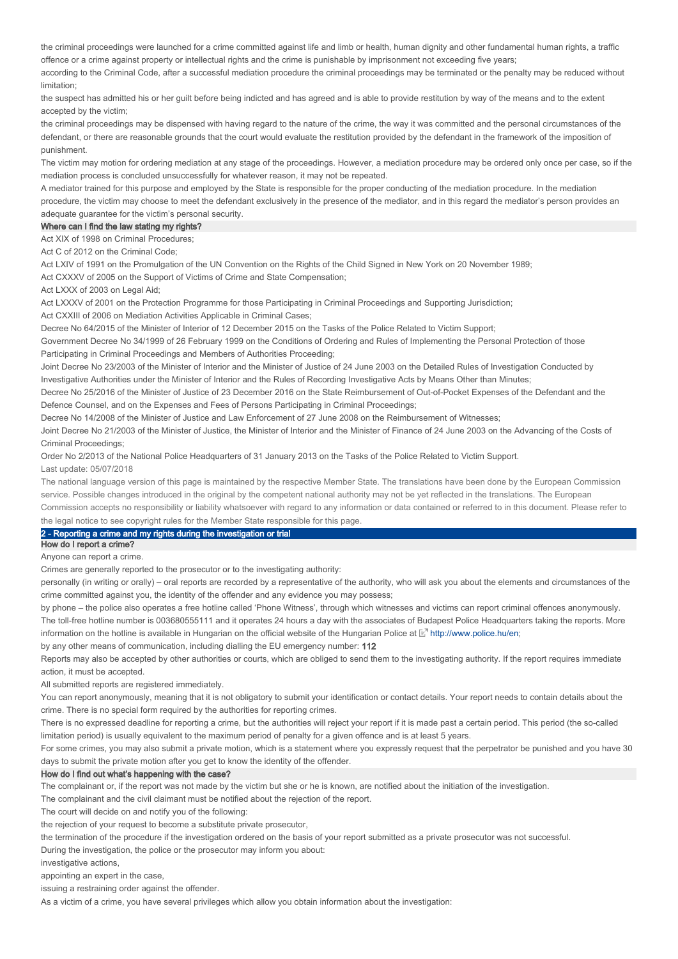the criminal proceedings were launched for a crime committed against life and limb or health, human dignity and other fundamental human rights, a traffic offence or a crime against property or intellectual rights and the crime is punishable by imprisonment not exceeding five years;

according to the Criminal Code, after a successful mediation procedure the criminal proceedings may be terminated or the penalty may be reduced without limitation;

the suspect has admitted his or her guilt before being indicted and has agreed and is able to provide restitution by way of the means and to the extent accepted by the victim;

the criminal proceedings may be dispensed with having regard to the nature of the crime, the way it was committed and the personal circumstances of the defendant, or there are reasonable grounds that the court would evaluate the restitution provided by the defendant in the framework of the imposition of punishment.

The victim may motion for ordering mediation at any stage of the proceedings. However, a mediation procedure may be ordered only once per case, so if the mediation process is concluded unsuccessfully for whatever reason, it may not be repeated.

A mediator trained for this purpose and employed by the State is responsible for the proper conducting of the mediation procedure. In the mediation procedure, the victim may choose to meet the defendant exclusively in the presence of the mediator, and in this regard the mediator's person provides an adequate guarantee for the victim's personal security.

#### Where can I find the law stating my rights?

Act XIX of 1998 on Criminal Procedures;

Act C of 2012 on the Criminal Code;

Act LXIV of 1991 on the Promulgation of the UN Convention on the Rights of the Child Signed in New York on 20 November 1989;

Act CXXXV of 2005 on the Support of Victims of Crime and State Compensation;

Act LXXX of 2003 on Legal Aid;

Act LXXXV of 2001 on the Protection Programme for those Participating in Criminal Proceedings and Supporting Jurisdiction;

Act CXXIII of 2006 on Mediation Activities Applicable in Criminal Cases;

Decree No 64/2015 of the Minister of Interior of 12 December 2015 on the Tasks of the Police Related to Victim Support;

Government Decree No 34/1999 of 26 February 1999 on the Conditions of Ordering and Rules of Implementing the Personal Protection of those Participating in Criminal Proceedings and Members of Authorities Proceeding;

Joint Decree No 23/2003 of the Minister of Interior and the Minister of Justice of 24 June 2003 on the Detailed Rules of Investigation Conducted by Investigative Authorities under the Minister of Interior and the Rules of Recording Investigative Acts by Means Other than Minutes;

Decree No 25/2016 of the Minister of Justice of 23 December 2016 on the State Reimbursement of Out-of-Pocket Expenses of the Defendant and the Defence Counsel, and on the Expenses and Fees of Persons Participating in Criminal Proceedings;

Decree No 14/2008 of the Minister of Justice and Law Enforcement of 27 June 2008 on the Reimbursement of Witnesses;

Joint Decree No 21/2003 of the Minister of Justice, the Minister of Interior and the Minister of Finance of 24 June 2003 on the Advancing of the Costs of Criminal Proceedings;

Order No 2/2013 of the National Police Headquarters of 31 January 2013 on the Tasks of the Police Related to Victim Support. Last update: 05/07/2018

The national language version of this page is maintained by the respective Member State. The translations have been done by the European Commission service. Possible changes introduced in the original by the competent national authority may not be yet reflected in the translations. The European Commission accepts no responsibility or liability whatsoever with regard to any information or data contained or referred to in this document. Please refer to

# the legal notice to see copyright rules for the Member State responsible for this page.

## 2 - Reporting a crime and my rights during the investigation or trial

How do I report a crime?

Anyone can report a crime.

Crimes are generally reported to the prosecutor or to the investigating authority:

personally (in writing or orally) – oral reports are recorded by a representative of the authority, who will ask you about the elements and circumstances of the crime committed against you, the identity of the offender and any evidence you may possess;

by phone – the police also operates a free hotline called 'Phone Witness', through which witnesses and victims can report criminal offences anonymously.

The toll-free hotline number is 003680555111 and it operates 24 hours a day with the associates of Budapest Police Headquarters taking the reports. More information on the hotline is available in Hungarian on the official website of the Hungarian Police at  $\mathbb{E}^n$  http://www.police.hu/en;

by any other means of communication, including dialling the EU emergency number: 112

Reports may also be accepted by other authorities or courts, which are obliged to send them to the investigating authority. If the report requires immediate action, it must be accepted.

All submitted reports are registered immediately.

You can report anonymously, meaning that it is not obligatory to submit your identification or contact details. Your report needs to contain details about the crime. There is no special form required by the authorities for reporting crimes.

There is no expressed deadline for reporting a crime, but the authorities will reject your report if it is made past a certain period. This period (the so-called limitation period) is usually equivalent to the maximum period of penalty for a given offence and is at least 5 years.

For some crimes, you may also submit a private motion, which is a statement where you expressly request that the perpetrator be punished and you have 30 days to submit the private motion after you get to know the identity of the offender.

## How do I find out what's happening with the case?

The complainant or, if the report was not made by the victim but she or he is known, are notified about the initiation of the investigation.

The complainant and the civil claimant must be notified about the rejection of the report.

The court will decide on and notify you of the following:

the rejection of your request to become a substitute private prosecutor,

the termination of the procedure if the investigation ordered on the basis of your report submitted as a private prosecutor was not successful.

During the investigation, the police or the prosecutor may inform you about:

investigative actions

appointing an expert in the case,

issuing a restraining order against the offender.

As a victim of a crime, you have several privileges which allow you obtain information about the investigation: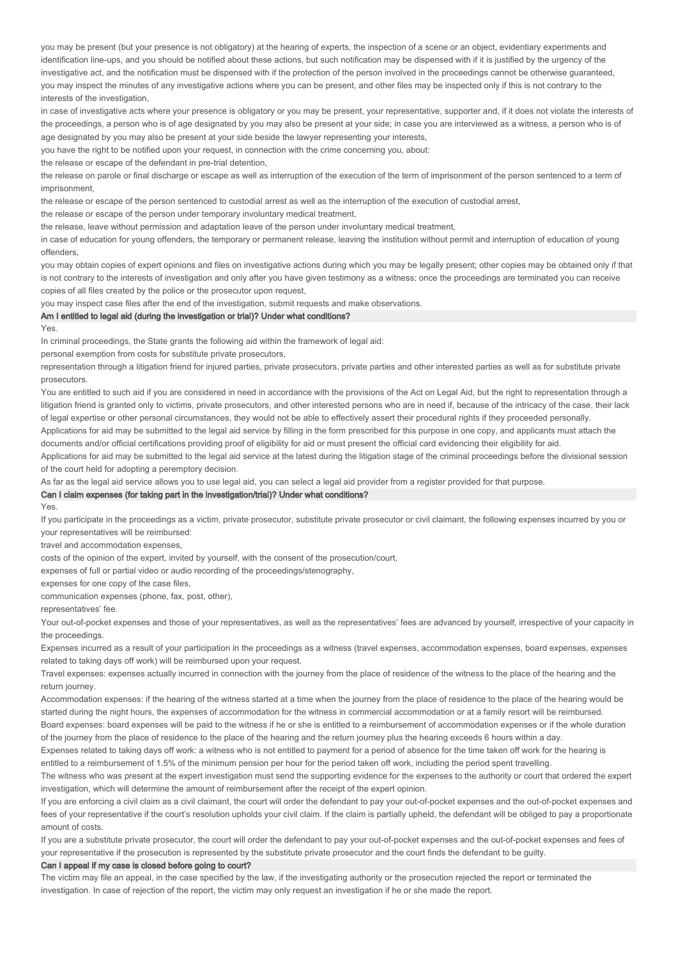you may be present (but your presence is not obligatory) at the hearing of experts, the inspection of a scene or an object, evidentiary experiments and identification line-ups, and you should be notified about these actions, but such notification may be dispensed with if it is justified by the urgency of the investigative act, and the notification must be dispensed with if the protection of the person involved in the proceedings cannot be otherwise guaranteed, you may inspect the minutes of any investigative actions where you can be present, and other files may be inspected only if this is not contrary to the interests of the investigation,

in case of investigative acts where your presence is obligatory or you may be present, your representative, supporter and, if it does not violate the interests of the proceedings, a person who is of age designated by you may also be present at your side; in case you are interviewed as a witness, a person who is of age designated by you may also be present at your side beside the lawyer representing your interests,

you have the right to be notified upon your request, in connection with the crime concerning you, about:

the release or escape of the defendant in pre-trial detention,

the release on parole or final discharge or escape as well as interruption of the execution of the term of imprisonment of the person sentenced to a term of imprisonment,

the release or escape of the person sentenced to custodial arrest as well as the interruption of the execution of custodial arrest,

the release or escape of the person under temporary involuntary medical treatment,

the release, leave without permission and adaptation leave of the person under involuntary medical treatment,

in case of education for young offenders, the temporary or permanent release, leaving the institution without permit and interruption of education of young offenders,

you may obtain copies of expert opinions and files on investigative actions during which you may be legally present; other copies may be obtained only if that is not contrary to the interests of investigation and only after you have given testimony as a witness; once the proceedings are terminated you can receive copies of all files created by the police or the prosecutor upon request,

you may inspect case files after the end of the investigation, submit requests and make observations.

# Am I entitled to legal aid (during the investigation or trial)? Under what conditions?

Yes

In criminal proceedings, the State grants the following aid within the framework of legal aid:

personal exemption from costs for substitute private prosecutors,

representation through a litigation friend for injured parties, private prosecutors, private parties and other interested parties as well as for substitute private prosecutors.

You are entitled to such aid if you are considered in need in accordance with the provisions of the Act on Legal Aid, but the right to representation through a litigation friend is granted only to victims, private prosecutors, and other interested persons who are in need if, because of the intricacy of the case, their lack of legal expertise or other personal circumstances, they would not be able to effectively assert their procedural rights if they proceeded personally. Applications for aid may be submitted to the legal aid service by filling in the form prescribed for this purpose in one copy, and applicants must attach the

documents and/or official certifications providing proof of eligibility for aid or must present the official card evidencing their eligibility for aid.

Applications for aid may be submitted to the legal aid service at the latest during the litigation stage of the criminal proceedings before the divisional session of the court held for adopting a peremptory decision.

As far as the legal aid service allows you to use legal aid, you can select a legal aid provider from a register provided for that purpose.

#### Can I claim expenses (for taking part in the investigation/trial)? Under what conditions?

Yes.

If you participate in the proceedings as a victim, private prosecutor, substitute private prosecutor or civil claimant, the following expenses incurred by you or your representatives will be reimbursed:

travel and accommodation expenses,

costs of the opinion of the expert, invited by yourself, with the consent of the prosecution/court,

expenses of full or partial video or audio recording of the proceedings/stenography,

expenses for one copy of the case files

communication expenses (phone, fax, post, other),

representatives' fee.

Your out-of-pocket expenses and those of your representatives, as well as the representatives' fees are advanced by yourself, irrespective of your capacity in the proceedings.

Expenses incurred as a result of your participation in the proceedings as a witness (travel expenses, accommodation expenses, board expenses, expenses related to taking days off work) will be reimbursed upon your request.

Travel expenses: expenses actually incurred in connection with the journey from the place of residence of the witness to the place of the hearing and the return journey.

Accommodation expenses: if the hearing of the witness started at a time when the journey from the place of residence to the place of the hearing would be started during the night hours, the expenses of accommodation for the witness in commercial accommodation or at a family resort will be reimbursed. Board expenses: board expenses will be paid to the witness if he or she is entitled to a reimbursement of accommodation expenses or if the whole duration of the journey from the place of residence to the place of the hearing and the return journey plus the hearing exceeds 6 hours within a day.

Expenses related to taking days off work: a witness who is not entitled to payment for a period of absence for the time taken off work for the hearing is entitled to a reimbursement of 1.5% of the minimum pension per hour for the period taken off work, including the period spent travelling.

The witness who was present at the expert investigation must send the supporting evidence for the expenses to the authority or court that ordered the expert investigation, which will determine the amount of reimbursement after the receipt of the expert opinion.

If you are enforcing a civil claim as a civil claimant, the court will order the defendant to pay your out-of-pocket expenses and the out-of-pocket expenses and fees of your representative if the court's resolution upholds your civil claim. If the claim is partially upheld, the defendant will be obliged to pay a proportionate amount of costs.

If you are a substitute private prosecutor, the court will order the defendant to pay your out-of-pocket expenses and the out-of-pocket expenses and fees of your representative if the prosecution is represented by the substitute private prosecutor and the court finds the defendant to be guilty.

#### Can I appeal if my case is closed before going to court?

The victim may file an appeal, in the case specified by the law, if the investigating authority or the prosecution rejected the report or terminated the investigation. In case of rejection of the report, the victim may only request an investigation if he or she made the report.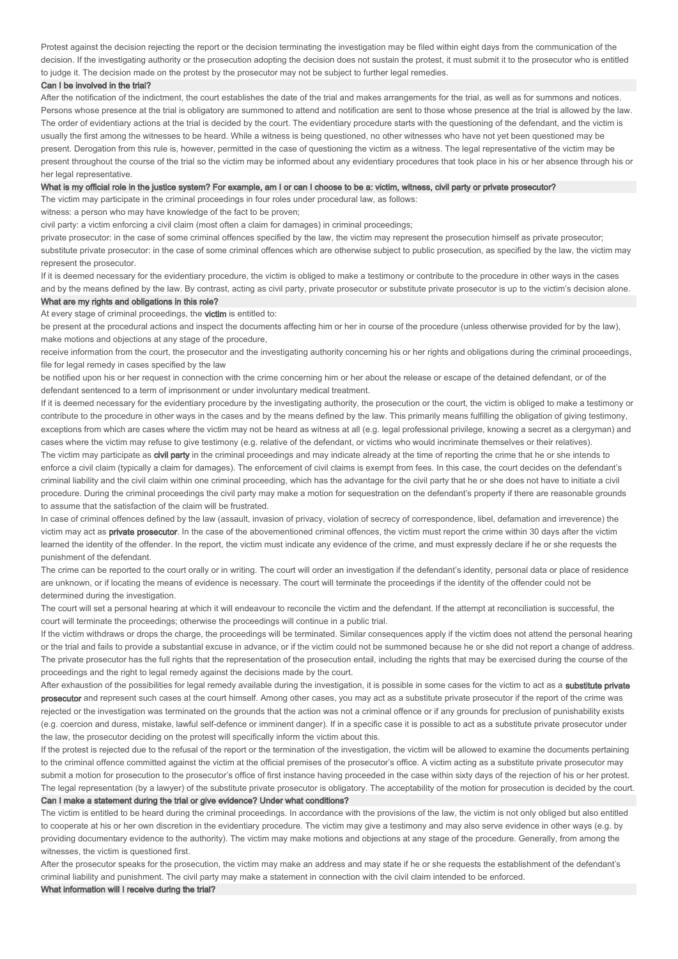Protest against the decision rejecting the report or the decision terminating the investigation may be filed within eight days from the communication of the decision. If the investigating authority or the prosecution adopting the decision does not sustain the protest, it must submit it to the prosecutor who is entitled to judge it. The decision made on the protest by the prosecutor may not be subject to further legal remedies.

#### Can I be involved in the trial?

After the notification of the indictment, the court establishes the date of the trial and makes arrangements for the trial, as well as for summons and notices. Persons whose presence at the trial is obligatory are summoned to attend and notification are sent to those whose presence at the trial is allowed by the law. The order of evidentiary actions at the trial is decided by the court. The evidentiary procedure starts with the questioning of the defendant, and the victim is usually the first among the witnesses to be heard. While a witness is being questioned, no other witnesses who have not yet been questioned may be present. Derogation from this rule is, however, permitted in the case of questioning the victim as a witness. The legal representative of the victim may be present throughout the course of the trial so the victim may be informed about any evidentiary procedures that took place in his or her absence through his or her legal representative.

#### What is my official role in the justice system? For example, am I or can I choose to be a: victim, witness, civil party or private prosecutor?

The victim may participate in the criminal proceedings in four roles under procedural law, as follows:

witness: a person who may have knowledge of the fact to be proven;

civil party: a victim enforcing a civil claim (most often a claim for damages) in criminal proceedings;

private prosecutor: in the case of some criminal offences specified by the law, the victim may represent the prosecution himself as private prosecutor; substitute private prosecutor: in the case of some criminal offences which are otherwise subject to public prosecution, as specified by the law, the victim may represent the prosecutor.

If it is deemed necessary for the evidentiary procedure, the victim is obliged to make a testimony or contribute to the procedure in other ways in the cases and by the means defined by the law. By contrast, acting as civil party, private prosecutor or substitute private prosecutor is up to the victim's decision alone. What are my rights and obligations in this role?

#### At every stage of criminal proceedings, the **victim** is entitled to:

be present at the procedural actions and inspect the documents affecting him or her in course of the procedure (unless otherwise provided for by the law), make motions and objections at any stage of the procedure,

receive information from the court, the prosecutor and the investigating authority concerning his or her rights and obligations during the criminal proceedings, file for legal remedy in cases specified by the law

be notified upon his or her request in connection with the crime concerning him or her about the release or escape of the detained defendant, or of the defendant sentenced to a term of imprisonment or under involuntary medical treatment.

If it is deemed necessary for the evidentiary procedure by the investigating authority, the prosecution or the court, the victim is obliged to make a testimony or contribute to the procedure in other ways in the cases and by the means defined by the law. This primarily means fulfilling the obligation of giving testimony, exceptions from which are cases where the victim may not be heard as witness at all (e.g. legal professional privilege, knowing a secret as a clergyman) and cases where the victim may refuse to give testimony (e.g. relative of the defendant, or victims who would incriminate themselves or their relatives). The victim may participate as **civil party** in the criminal proceedings and may indicate already at the time of reporting the crime that he or she intends to enforce a civil claim (typically a claim for damages). The enforcement of civil claims is exempt from fees. In this case, the court decides on the defendant's criminal liability and the civil claim within one criminal proceeding, which has the advantage for the civil party that he or she does not have to initiate a civil procedure. During the criminal proceedings the civil party may make a motion for sequestration on the defendant's property if there are reasonable grounds to assume that the satisfaction of the claim will be frustrated.

In case of criminal offences defined by the law (assault, invasion of privacy, violation of secrecy of correspondence, libel, defamation and irreverence) the victim may act as **private prosecutor**. In the case of the abovementioned criminal offences, the victim must report the crime within 30 days after the victim learned the identity of the offender. In the report, the victim must indicate any evidence of the crime, and must expressly declare if he or she requests the punishment of the defendant.

The crime can be reported to the court orally or in writing. The court will order an investigation if the defendant's identity, personal data or place of residence are unknown, or if locating the means of evidence is necessary. The court will terminate the proceedings if the identity of the offender could not be determined during the investigation.

The court will set a personal hearing at which it will endeavour to reconcile the victim and the defendant. If the attempt at reconciliation is successful, the court will terminate the proceedings; otherwise the proceedings will continue in a public trial.

If the victim withdraws or drops the charge, the proceedings will be terminated. Similar consequences apply if the victim does not attend the personal hearing or the trial and fails to provide a substantial excuse in advance, or if the victim could not be summoned because he or she did not report a change of address. The private prosecutor has the full rights that the representation of the prosecution entail, including the rights that may be exercised during the course of the proceedings and the right to legal remedy against the decisions made by the court.

After exhaustion of the possibilities for legal remedy available during the investigation, it is possible in some cases for the victim to act as a substitute private prosecutor and represent such cases at the court himself. Among other cases, you may act as a substitute private prosecutor if the report of the crime was rejected or the investigation was terminated on the grounds that the action was not a criminal offence or if any grounds for preclusion of punishability exists (e.g. coercion and duress, mistake, lawful self-defence or imminent danger). If in a specific case it is possible to act as a substitute private prosecutor under the law, the prosecutor deciding on the protest will specifically inform the victim about this.

If the protest is rejected due to the refusal of the report or the termination of the investigation, the victim will be allowed to examine the documents pertaining to the criminal offence committed against the victim at the official premises of the prosecutor's office. A victim acting as a substitute private prosecutor may submit a motion for prosecution to the prosecutor's office of first instance having proceeded in the case within sixty days of the rejection of his or her protest. The legal representation (by a lawyer) of the substitute private prosecutor is obligatory. The acceptability of the motion for prosecution is decided by the court. Can I make a statement during the trial or give evidence? Under what conditions?

The victim is entitled to be heard during the criminal proceedings. In accordance with the provisions of the law, the victim is not only obliged but also entitled to cooperate at his or her own discretion in the evidentiary procedure. The victim may give a testimony and may also serve evidence in other ways (e.g. by providing documentary evidence to the authority). The victim may make motions and objections at any stage of the procedure. Generally, from among the witnesses, the victim is questioned first.

After the prosecutor speaks for the prosecution, the victim may make an address and may state if he or she requests the establishment of the defendant's criminal liability and punishment. The civil party may make a statement in connection with the civil claim intended to be enforced.

What information will I receive during the trial?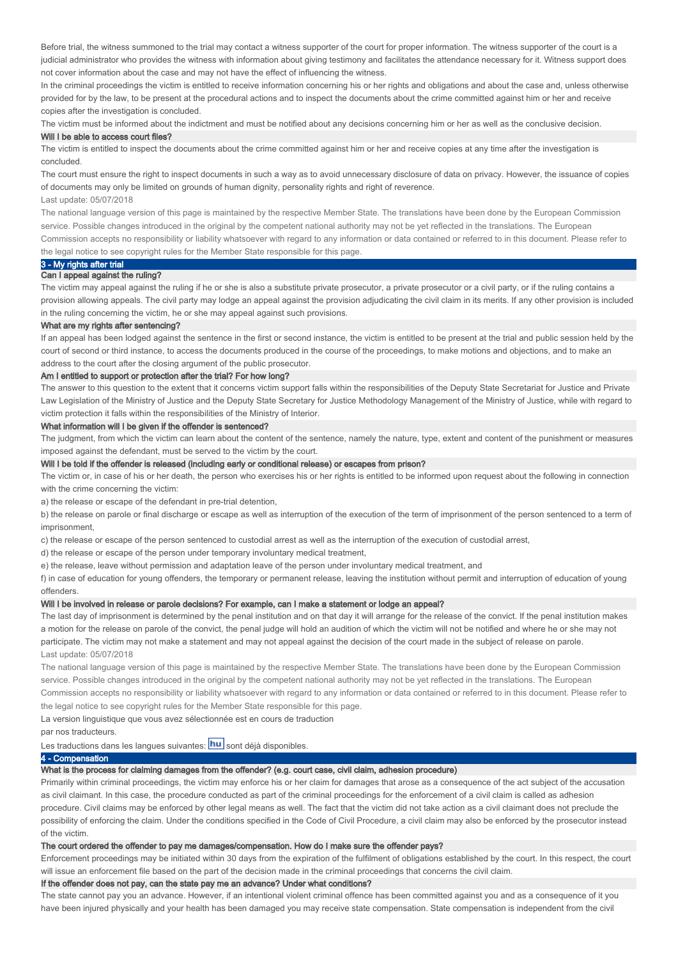Before trial, the witness summoned to the trial may contact a witness supporter of the court for proper information. The witness supporter of the court is a judicial administrator who provides the witness with information about giving testimony and facilitates the attendance necessary for it. Witness support does not cover information about the case and may not have the effect of influencing the witness.

In the criminal proceedings the victim is entitled to receive information concerning his or her rights and obligations and about the case and, unless otherwise provided for by the law, to be present at the procedural actions and to inspect the documents about the crime committed against him or her and receive copies after the investigation is concluded.

The victim must be informed about the indictment and must be notified about any decisions concerning him or her as well as the conclusive decision.

#### Will I be able to access court files?

The victim is entitled to inspect the documents about the crime committed against him or her and receive copies at any time after the investigation is concluded.

The court must ensure the right to inspect documents in such a way as to avoid unnecessary disclosure of data on privacy. However, the issuance of copies of documents may only be limited on grounds of human dignity, personality rights and right of reverence. Last update: 05/07/2018

The national language version of this page is maintained by the respective Member State. The translations have been done by the European Commission service. Possible changes introduced in the original by the competent national authority may not be yet reflected in the translations. The European Commission accepts no responsibility or liability whatsoever with regard to any information or data contained or referred to in this document. Please refer to the legal notice to see copyright rules for the Member State responsible for this page.

# 3 - My rights after trial

# Can I appeal against the ruling?

The victim may appeal against the ruling if he or she is also a substitute private prosecutor, a private prosecutor or a civil party, or if the ruling contains a provision allowing appeals. The civil party may lodge an appeal against the provision adjudicating the civil claim in its merits. If any other provision is included in the ruling concerning the victim, he or she may appeal against such provisions.

#### What are my rights after sentencing?

If an appeal has been lodged against the sentence in the first or second instance, the victim is entitled to be present at the trial and public session held by the court of second or third instance, to access the documents produced in the course of the proceedings, to make motions and objections, and to make an address to the court after the closing argument of the public prosecutor.

#### Am I entitled to support or protection after the trial? For how long?

The answer to this question to the extent that it concerns victim support falls within the responsibilities of the Deputy State Secretariat for Justice and Private Law Legislation of the Ministry of Justice and the Deputy State Secretary for Justice Methodology Management of the Ministry of Justice, while with regard to victim protection it falls within the responsibilities of the Ministry of Interior.

#### What information will I be given if the offender is sentenced?

The judgment, from which the victim can learn about the content of the sentence, namely the nature, type, extent and content of the punishment or measures imposed against the defendant, must be served to the victim by the court.

#### Will I be told if the offender is released (including early or conditional release) or escapes from prison?

The victim or, in case of his or her death, the person who exercises his or her rights is entitled to be informed upon request about the following in connection with the crime concerning the victim:

a) the release or escape of the defendant in pre-trial detention,

b) the release on parole or final discharge or escape as well as interruption of the execution of the term of imprisonment of the person sentenced to a term of imprisonment,

c) the release or escape of the person sentenced to custodial arrest as well as the interruption of the execution of custodial arrest,

d) the release or escape of the person under temporary involuntary medical treatment,

e) the release, leave without permission and adaptation leave of the person under involuntary medical treatment, and

f) in case of education for young offenders, the temporary or permanent release, leaving the institution without permit and interruption of education of young offenders.

# Will I be involved in release or parole decisions? For example, can I make a statement or lodge an appeal?

The last day of imprisonment is determined by the penal institution and on that day it will arrange for the release of the convict. If the penal institution makes a motion for the release on parole of the convict, the penal judge will hold an audition of which the victim will not be notified and where he or she may not participate. The victim may not make a statement and may not appeal against the decision of the court made in the subject of release on parole. Last update: 05/07/2018

The national language version of this page is maintained by the respective Member State. The translations have been done by the European Commission service. Possible changes introduced in the original by the competent national authority may not be yet reflected in the translations. The European Commission accepts no responsibility or liability whatsoever with regard to any information or data contained or referred to in this document. Please refer to the legal notice to see copyright rules for the Member State responsible for this page.

La version linguistique que vous avez sélectionnée est en cours de traduction

par nos traducteurs.

# Les traductions dans les langues suivantes: **hu** sont déjà disponibles.

# 4 - Compensation

# What is the process for claiming damages from the offender? (e.g. court case, civil claim, adhesion procedure)

Primarily within criminal proceedings, the victim may enforce his or her claim for damages that arose as a consequence of the act subject of the accusation as civil claimant. In this case, the procedure conducted as part of the criminal proceedings for the enforcement of a civil claim is called as adhesion procedure. Civil claims may be enforced by other legal means as well. The fact that the victim did not take action as a civil claimant does not preclude the possibility of enforcing the claim. Under the conditions specified in the Code of Civil Procedure, a civil claim may also be enforced by the prosecutor instead of the victim.

# The court ordered the offender to pay me damages/compensation. How do I make sure the offender pays?

Enforcement proceedings may be initiated within 30 days from the expiration of the fulfilment of obligations established by the court. In this respect, the court will issue an enforcement file based on the part of the decision made in the criminal proceedings that concerns the civil claim.

# If the offender does not pay, can the state pay me an advance? Under what conditions?

The state cannot pay you an advance. However, if an intentional violent criminal offence has been committed against you and as a consequence of it you have been injured physically and your health has been damaged you may receive state compensation. State compensation is independent from the civil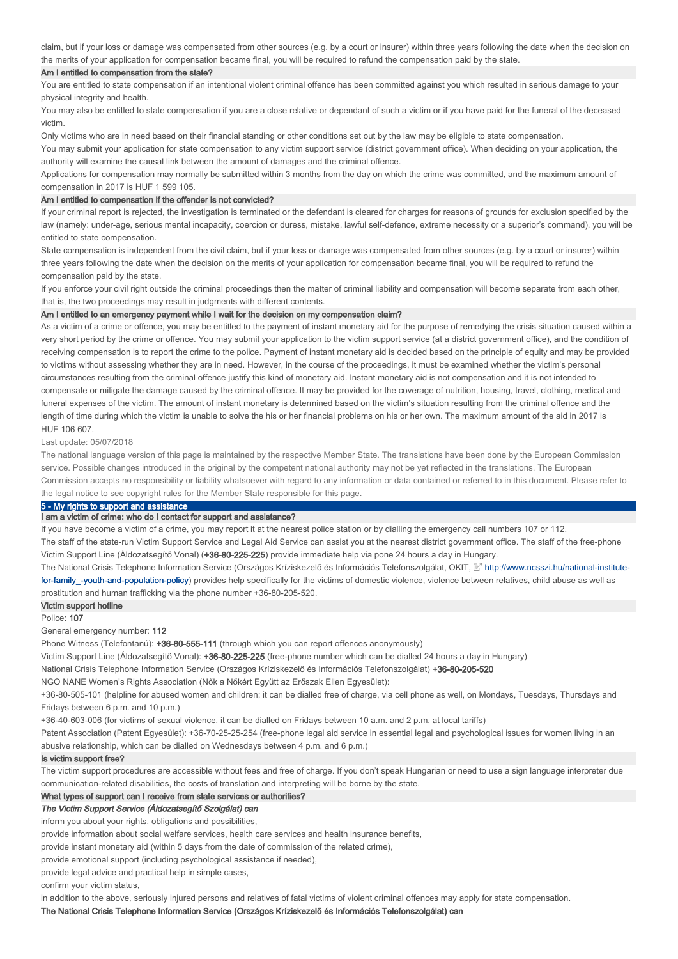claim, but if your loss or damage was compensated from other sources (e.g. by a court or insurer) within three years following the date when the decision on the merits of your application for compensation became final, you will be required to refund the compensation paid by the state.

#### Am I entitled to compensation from the state?

You are entitled to state compensation if an intentional violent criminal offence has been committed against you which resulted in serious damage to your physical integrity and health.

You may also be entitled to state compensation if you are a close relative or dependant of such a victim or if you have paid for the funeral of the deceased victim.

Only victims who are in need based on their financial standing or other conditions set out by the law may be eligible to state compensation.

You may submit your application for state compensation to any victim support service (district government office). When deciding on your application, the authority will examine the causal link between the amount of damages and the criminal offence.

Applications for compensation may normally be submitted within 3 months from the day on which the crime was committed, and the maximum amount of compensation in 2017 is HUF 1 599 105.

#### Am I entitled to compensation if the offender is not convicted?

If your criminal report is rejected, the investigation is terminated or the defendant is cleared for charges for reasons of grounds for exclusion specified by the law (namely: under-age, serious mental incapacity, coercion or duress, mistake, lawful self-defence, extreme necessity or a superior's command), you will be entitled to state compensation.

State compensation is independent from the civil claim, but if your loss or damage was compensated from other sources (e.g. by a court or insurer) within three years following the date when the decision on the merits of your application for compensation became final, you will be required to refund the compensation paid by the state.

If you enforce your civil right outside the criminal proceedings then the matter of criminal liability and compensation will become separate from each other, that is, the two proceedings may result in judgments with different contents.

# Am I entitled to an emergency payment while I wait for the decision on my compensation claim?

As a victim of a crime or offence, you may be entitled to the payment of instant monetary aid for the purpose of remedying the crisis situation caused within a very short period by the crime or offence. You may submit your application to the victim support service (at a district government office), and the condition of receiving compensation is to report the crime to the police. Payment of instant monetary aid is decided based on the principle of equity and may be provided to victims without assessing whether they are in need. However, in the course of the proceedings, it must be examined whether the victim's personal circumstances resulting from the criminal offence justify this kind of monetary aid. Instant monetary aid is not compensation and it is not intended to compensate or mitigate the damage caused by the criminal offence. It may be provided for the coverage of nutrition, housing, travel, clothing, medical and funeral expenses of the victim. The amount of instant monetary is determined based on the victim's situation resulting from the criminal offence and the length of time during which the victim is unable to solve the his or her financial problems on his or her own. The maximum amount of the aid in 2017 is HUF 106 607.

#### Last update: 05/07/2018

The national language version of this page is maintained by the respective Member State. The translations have been done by the European Commission service. Possible changes introduced in the original by the competent national authority may not be vet reflected in the translations. The European Commission accepts no responsibility or liability whatsoever with regard to any information or data contained or referred to in this document. Please refer to the legal notice to see copyright rules for the Member State responsible for this page.

# 5 - My rights to support and assistance

# I am a victim of crime: who do I contact for support and assistance?

If you have become a victim of a crime, you may report it at the nearest police station or by dialling the emergency call numbers 107 or 112. The staff of the state-run Victim Support Service and Legal Aid Service can assist you at the nearest district government office. The staff of the free-phone Victim Support Line (Áldozatsegítő Vonal) (+36-80-225-225) provide immediate help via pone 24 hours a day in Hungary.

The National Crisis Telephone Information Service (Országos Kríziskezelő és Információs Telefonszolgálat, OKIT, http://www.ncsszi.hu/national-institute**for-family\_-youth-and-population-policy**) provides help specifically for the victims of domestic violence, violence between relatives, child abuse as well as prostitution and human trafficking via the phone number +36-80-205-520.

#### Victim support hotline

#### Police: 107

General emergency number: 112

Phone Witness (Telefontanú): +36-80-555-111 (through which you can report offences anonymously)

Victim Support Line (Áldozatsegítő Vonal): +36-80-225-225 (free-phone number which can be dialled 24 hours a day in Hungary)

National Crisis Telephone Information Service (Országos Kríziskezelő és Információs Telefonszolgálat) +36-80-205-520

NGO NANE Women's Rights Association (Nők a Nőkért Együtt az Erőszak Ellen Egyesület):

+36-80-505-101 (helpline for abused women and children; it can be dialled free of charge, via cell phone as well, on Mondays, Tuesdays, Thursdays and Fridays between 6 p.m. and 10 p.m.)

+36-40-603-006 (for victims of sexual violence, it can be dialled on Fridays between 10 a.m. and 2 p.m. at local tariffs)

Patent Association (Patent Egyesület): +36-70-25-25-254 (free-phone legal aid service in essential legal and psychological issues for women living in an abusive relationship, which can be dialled on Wednesdays between 4 p.m. and 6 p.m.)

#### Is victim support free?

The victim support procedures are accessible without fees and free of charge. If you don't speak Hungarian or need to use a sign language interpreter due communication-related disabilities, the costs of translation and interpreting will be borne by the state.

#### What types of support can I receive from state services or authorities?

#### The Victim Support Service (Áldozatsegítő Szolgálat) can

inform you about your rights, obligations and possibilities,

provide information about social welfare services, health care services and health insurance benefits,

provide instant monetary aid (within 5 days from the date of commission of the related crime),

provide emotional support (including psychological assistance if needed),

provide legal advice and practical help in simple cases,

confirm your victim status,

in addition to the above, seriously injured persons and relatives of fatal victims of violent criminal offences may apply for state compensation.

The National Crisis Telephone Information Service (Országos Kríziskezelő és Információs Telefonszolgálat) can